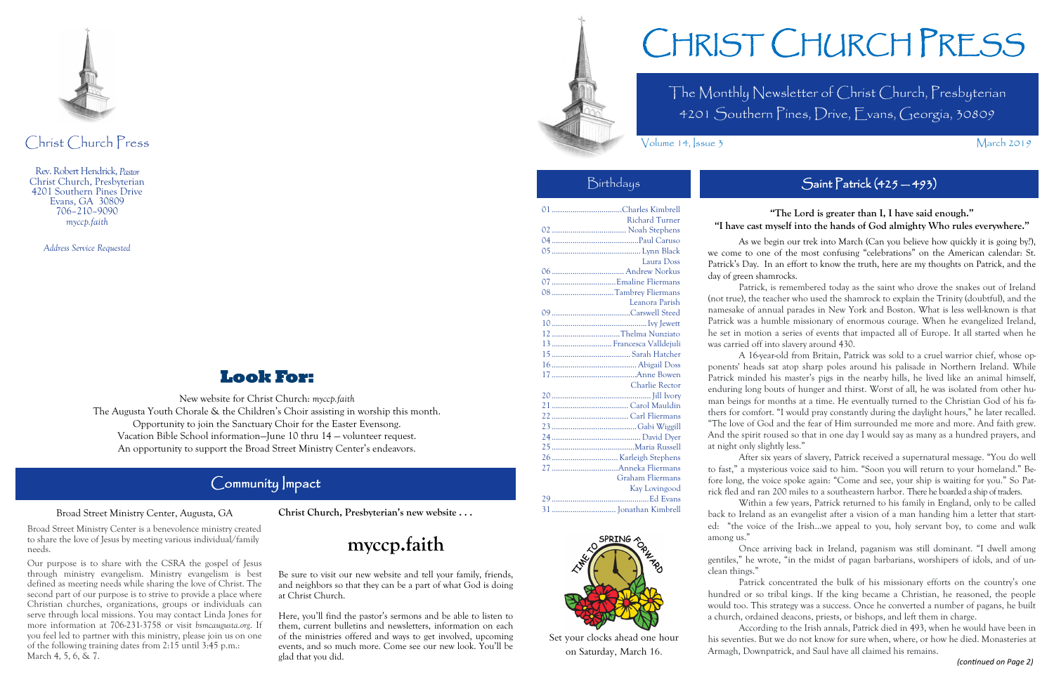The Monthly Newsletter of Christ Church, Presbyterian 4201 Southern Pines, Drive, Evans, Georgia, 30809

Volume 14, Issue 3 March 2019

# CHRIST CHURCH PRESS

...Charles Kimbrell Richard Turner .................................... Noah Stephens ..........................................Paul Caruso ........................................... Lynn Black Laura Doss ................................... Andrew Norkus ...............................Emaline Fliermans ..............................Tambrey Fliermans Leanora Parish ......................................Carswell Steed ..............................................Ivy Jewett .................................Thelma Nunziato ............................. Francesca Valldejuli ...................................... Sarah Hatcher ......................................... Abigail Doss .........................................Anne Bowen Charlie Rector .. Iill Ivory ..................................... Carol Mauldin ..................................... Carl Fliermans .........................................Gabi Wiggill ........................................... David Dyer ........................................Maria Russell ................................Karleigh Stephens ................................Anneka Fliermans Graham Fliermans Kay Lovingood ...............................................Ed Evans ............................... Jonathan Kimbrell



Christ Church Press

Rev. Robert Hendrick, *Pastor* Christ Church, Presbyterian 4201 Southern Pines Drive Evans, GA 30809 706–210–9090 *myccp.faith*

*Address Service Requested*

# **Look For:**

New website for Christ Church: *myccp.faith* The Augusta Youth Chorale & the Children's Choir assisting in worship this month. Opportunity to join the Sanctuary Choir for the Easter Evensong. Vacation Bible School information—June 10 thru 14 — volunteer request. An opportunity to support the Broad Street Ministry Center's endeavors.

# Community Impact

## **"The Lord is greater than I, I have said enough." "I have cast myself into the hands of God almighty Who rules everywhere."**

As we begin our trek into March (Can you believe how quickly it is going by?), we come to one of the most confusing "celebrations" on the American calendar: St. Patrick's Day. In an effort to know the truth, here are my thoughts on Patrick, and the day of green shamrocks.

Our purpose is to share with the CSRA the gospel of Jesus through ministry evangelism. Ministry evangelism is best defined as meeting needs while sharing the love of Christ. The second part of our purpose is to strive to provide a place where Christian churches, organizations, groups or individuals can serve through local missions. You may contact Linda Jones for more information at 706-231-3758 or visit *bsmcaugusta.org*. If you feel led to partner with this ministry, please join us on one of the following training dates from 2:15 until 3:45 p.m.: March 4, 5, 6, & 7.

Patrick, is remembered today as the saint who drove the snakes out of Ireland (not true), the teacher who used the shamrock to explain the Trinity (doubtful), and the namesake of annual parades in New York and Boston. What is less well-known is that Patrick was a humble missionary of enormous courage. When he evangelized Ireland, he set in motion a series of events that impacted all of Europe. It all started when he was carried off into slavery around 430.

Here, you'll find the pastor's sermons and be able to listen to them, current bulletins and newsletters, information on each of the ministries offered and ways to get involved, upcoming events, and so much more. Come see our new look. You'll be glad that you did. *(continued on Page 2)* **Saturday**, Ivian 10. *Thinagh*, Downpatrick, and Saurnaye an elamicd ins remains.



A 16-year-old from Britain, Patrick was sold to a cruel warrior chief, whose opponents' heads sat atop sharp poles around his palisade in Northern Ireland. While Patrick minded his master's pigs in the nearby hills, he lived like an animal himself, enduring long bouts of hunger and thirst. Worst of all, he was isolated from other human beings for months at a time. He eventually turned to the Christian God of his fathers for comfort. "I would pray constantly during the daylight hours," he later recalled.

"The love of God and the fear of Him surrounded me more and more. And faith grew. And the spirit roused so that in one day I would say as many as a hundred prayers, and

at night only slightly less."

After six years of slavery, Patrick received a supernatural message. "You do well to fast," a mysterious voice said to him. "Soon you will return to your homeland." Before long, the voice spoke again: "Come and see, your ship is waiting for you." So Patrick fled and ran 200 miles to a southeastern harbor. There he boarded a ship of traders.

Within a few years, Patrick returned to his family in England, only to be called back to Ireland as an evangelist after a vision of a man handing him a letter that started: "the voice of the Irish...we appeal to you, holy servant boy, to come and walk among us."

Once arriving back in Ireland, paganism was still dominant. "I dwell among gentiles," he wrote, "in the midst of pagan barbarians, worshipers of idols, and of un-

clean things."

# Birthdays Saint Patrick (425 – 493)

Patrick concentrated the bulk of his missionary efforts on the country's one hundred or so tribal kings. If the king became a Christian, he reasoned, the people would too. This strategy was a success. Once he converted a number of pagans, he built a church, ordained deacons, priests, or bishops, and left them in charge.

According to the Irish annals, Patrick died in 493, when he would have been in his seventies. But we do not know for sure when, where, or how he died. Monasteries at Armagh, Downpatrick, and Saul have all claimed his remains.

### Broad Street Ministry Center, Augusta, GA

Broad Street Ministry Center is a benevolence ministry created to share the love of Jesus by meeting various individual/family needs.



Set your clocks ahead one hour on Saturday, March 16.

### **Christ Church, Presbyterian's new website . . .**

# **myccp.faith**

Be sure to visit our new website and tell your family, friends, and neighbors so that they can be a part of what God is doing at Christ Church.